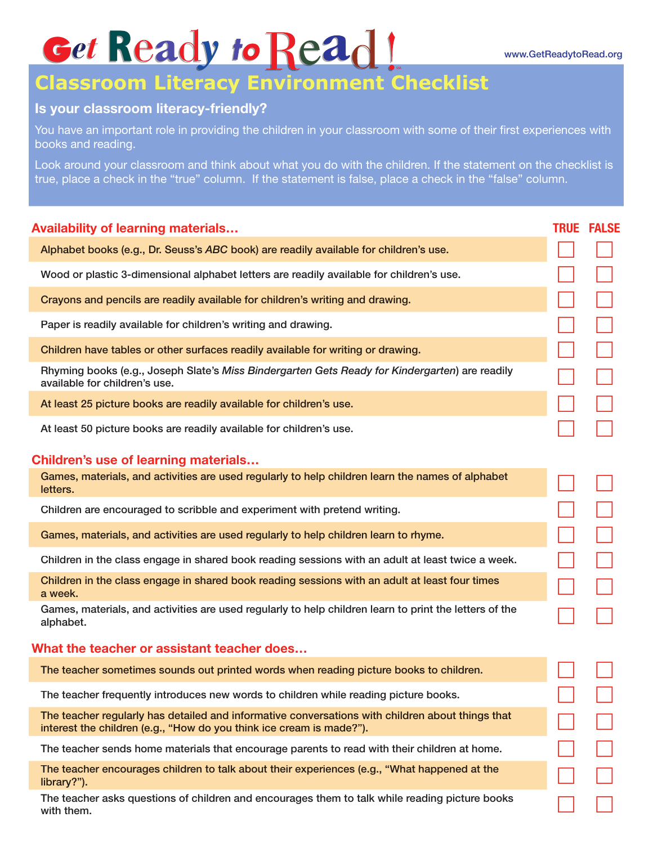## Get Ready to Read!

## www.GetReadytoRead.org

## **Classroom Literacy Environment Checklist**

## **Is your classroom literacy-friendly?**

You have an important role in providing the children in your classroom with some of their first experiences with books and reading.

Look around your classroom and think about what you do with the children. If the statement on the checklist is true, place a check in the "true" column. If the statement is false, place a check in the "false" column.

| <b>Availability of learning materials</b>                                                                                                                                | <b>TRUE FALSE</b> |
|--------------------------------------------------------------------------------------------------------------------------------------------------------------------------|-------------------|
| Alphabet books (e.g., Dr. Seuss's ABC book) are readily available for children's use.                                                                                    |                   |
| Wood or plastic 3-dimensional alphabet letters are readily available for children's use.                                                                                 |                   |
| Crayons and pencils are readily available for children's writing and drawing.                                                                                            |                   |
| Paper is readily available for children's writing and drawing.                                                                                                           |                   |
| Children have tables or other surfaces readily available for writing or drawing.                                                                                         |                   |
| Rhyming books (e.g., Joseph Slate's Miss Bindergarten Gets Ready for Kindergarten) are readily<br>available for children's use.                                          |                   |
| At least 25 picture books are readily available for children's use.                                                                                                      |                   |
| At least 50 picture books are readily available for children's use.                                                                                                      |                   |
| <b>Children's use of learning materials</b>                                                                                                                              |                   |
| Games, materials, and activities are used regularly to help children learn the names of alphabet<br>letters.                                                             |                   |
| Children are encouraged to scribble and experiment with pretend writing.                                                                                                 |                   |
| Games, materials, and activities are used regularly to help children learn to rhyme.                                                                                     |                   |
| Children in the class engage in shared book reading sessions with an adult at least twice a week.                                                                        |                   |
| Children in the class engage in shared book reading sessions with an adult at least four times<br>a week.                                                                |                   |
| Games, materials, and activities are used regularly to help children learn to print the letters of the<br>alphabet.                                                      |                   |
| What the teacher or assistant teacher does                                                                                                                               |                   |
| The teacher sometimes sounds out printed words when reading picture books to children.                                                                                   |                   |
| The teacher frequently introduces new words to children while reading picture books.                                                                                     |                   |
| The teacher regularly has detailed and informative conversations with children about things that<br>interest the children (e.g., "How do you think ice cream is made?"). |                   |
| The teacher sends home materials that encourage parents to read with their children at home.                                                                             |                   |
| The teacher encourages children to talk about their experiences (e.g., "What happened at the<br>library?").                                                              |                   |
| The teacher asks questions of children and encourages them to talk while reading picture books<br>with them.                                                             |                   |